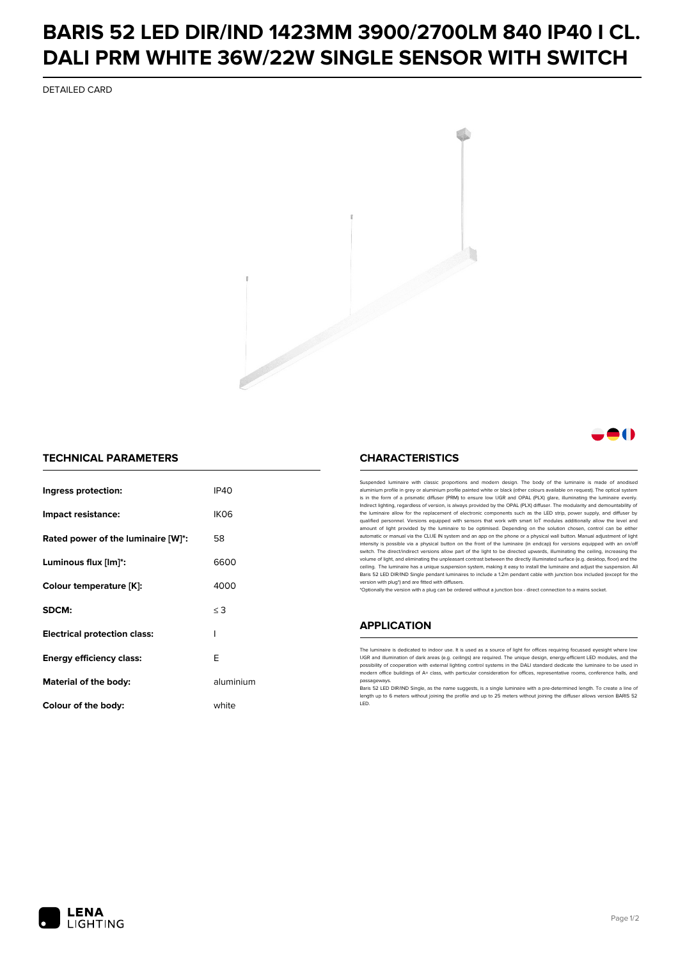## **BARIS 52 LED DIR/IND 1423MM 3900/2700LM 840 IP40 I CL. DALI PRM WHITE 36W/22W SINGLE SENSOR WITH SWITCH**

DETAILED CARD



### **A**O

#### **TECHNICAL PARAMETERS**

| Ingress protection:                 | IP40             |
|-------------------------------------|------------------|
| Impact resistance:                  | IK <sub>06</sub> |
| Rated power of the luminaire [W]*:  | 58               |
| Luminous flux [lm]*:                | 6600             |
| Colour temperature [K]:             | 4000             |
| SDCM:                               | $\leq$ 3         |
| <b>Electrical protection class:</b> | ı                |
| <b>Energy efficiency class:</b>     | F                |
| Material of the body:               | aluminium        |
| Colour of the body:                 | white            |

#### **CHARACTERISTICS**

Suspended luminaire with classic proportions and modern design. The body of the luminaire is made of an aluminium profile in grey or aluminium profile painted white or black (other colours available on request). The optical system is in the form of a prismatic diffuser (PRM) to ensure low UGR and OPAL (PLX) glare, illuminating the luminaire evenly.<br>Indirect lighting, regardless of version, is always provided by the OPAL (PLX) diffuser. The modularit the luminaire allow for the replacement of electronic components such as the LED strip, power supply, and diffuser by qualified personnel. Versions equipped with sensors that work with smart IoT modules additionally allow the level and amount of light provided by the luminaire to be optimised. Depending on the solution chosen, control can be either automatic or manual via the CLUE IN system and an app on the phone or a physical wall button. Manual adjustment of light<br>intensity is possible via a physical button on the front of the luminaire (in endcap) for versions eq switch. The direct/indirect versions allow part of the light to be directed upwards, illuminating the ceiling, increasing the volume of light, and eliminating the unpleasant contrast between the directly illuminated surface (e.g. desktop, floor) and the ceiling. The luminaire has a unique suspension system, making it easy to install the luminaire and adjust the suspension. All Baris 52 LED DIR/IND Single pendant Iuminaires to include a 1.2m pendant cable with junction box included (except for the<br>version with plug\*) and are fitted with diffusers.

\*Optionally the version with a plug can be ordered without a junction box - direct connection to a mains socket.

#### **APPLICATION**

The luminaire is dedicated to indoor use. It is used as a source of light for offices requiring focussed eyesight where low UGR and illumination of dark areas (e.g. ceilings) are required. The unique design, energy-efficient LED modules, and the<br>possibility of cooperation with external lighting control systems in the DALI standard dedicate the modern office buildings of A+ class, with particular consideration for offices, representative rooms, conference halls, and passage

Baris 52 LED DIR/IND Single, as the name suggests, is a single luminaire with a pre-determined length. To create a line of length up to 6 meters without joining the profile and up to 25 meters without joining the diffuser allows version BARIS 52 LED.